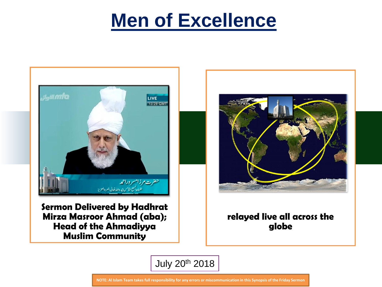

**Sermon Delivered by Hadhrat Mirza Masroor Ahmad (aba); Head of the Ahmadiyya Muslim Community** 



#### **relayed live all across the globe**

July 20th 2018

**NOTE: Al Islam Team takes full responsibility for any errors or miscommunication in this Synopsis of the Friday Sermon**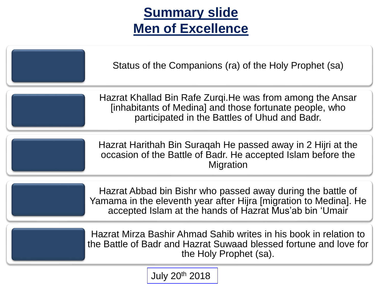# **Summary slide Men of Excellence**

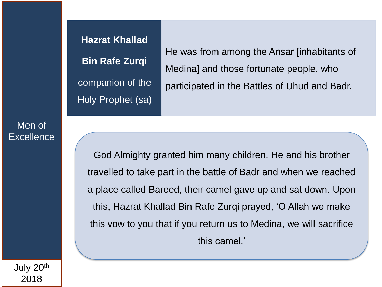**Bin Rafe Zurqi**

He was from among the Ansar [inhabitants of Medina] and those fortunate people, who participated in the Battles of Uhud and Badr.

God Almighty granted him many children. He and his brother travelled to take part in the battle of Badr and when we reached a place called Bareed, their camel gave up and sat down. Upon this, Hazrat Khallad Bin Rafe Zurqi prayed, 'O Allah we make this vow to you that if you return us to Medina, we will sacrifice this camel.'

July 20th 2018

Men of

**Excellence** 

#### **Hazrat Khallad**

companion of the Holy Prophet (sa)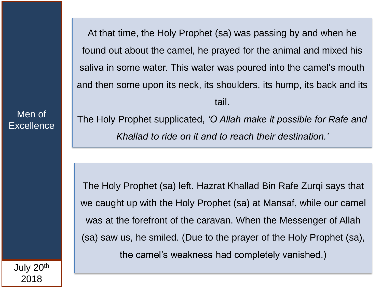At that time, the Holy Prophet (sa) was passing by and when he found out about the camel, he prayed for the animal and mixed his saliva in some water. This water was poured into the camel's mouth and then some upon its neck, its shoulders, its hump, its back and its tail.

The Holy Prophet supplicated, *'O Allah make it possible for Rafe and Khallad to ride on it and to reach their destination.'* 

The Holy Prophet (sa) left. Hazrat Khallad Bin Rafe Zurqi says that we caught up with the Holy Prophet (sa) at Mansaf, while our camel was at the forefront of the caravan. When the Messenger of Allah (sa) saw us, he smiled. (Due to the prayer of the Holy Prophet (sa), the camel's weakness had completely vanished.)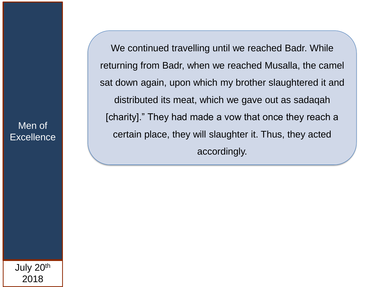We continued travelling until we reached Badr. While returning from Badr, when we reached Musalla, the camel sat down again, upon which my brother slaughtered it and distributed its meat, which we gave out as sadaqah [charity]." They had made a vow that once they reach a certain place, they will slaughter it. Thus, they acted accordingly.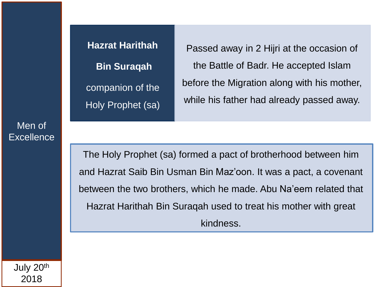**Hazrat Harithah Bin Suraqah** companion of the Holy Prophet (sa)

Passed away in 2 Hijri at the occasion of the Battle of Badr. He accepted Islam before the Migration along with his mother, while his father had already passed away.

The Holy Prophet (sa) formed a pact of brotherhood between him and Hazrat Saib Bin Usman Bin Maz'oon. It was a pact, a covenant between the two brothers, which he made. Abu Na'eem related that Hazrat Harithah Bin Suraqah used to treat his mother with great kindness.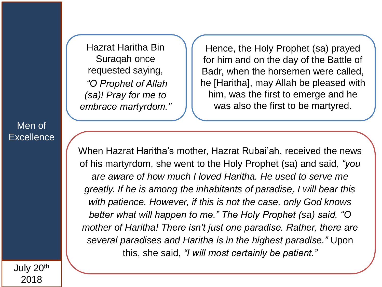Hazrat Haritha Bin Suraqah once requested saying, *"O Prophet of Allah (sa)! Pray for me to embrace martyrdom."*

Hence, the Holy Prophet (sa) prayed for him and on the day of the Battle of Badr, when the horsemen were called, he [Haritha], may Allah be pleased with him, was the first to emerge and he was also the first to be martyred.

When Hazrat Haritha's mother, Hazrat Rubai'ah, received the news of his martyrdom, she went to the Holy Prophet (sa) and said*, "you are aware of how much I loved Haritha. He used to serve me greatly. If he is among the inhabitants of paradise, I will bear this with patience. However, if this is not the case, only God knows better what will happen to me." The Holy Prophet (sa) said, "O mother of Haritha! There isn't just one paradise. Rather, there are several paradises and Haritha is in the highest paradise."* Upon this, she said, *"I will most certainly be patient."* 

Men of **Excellence**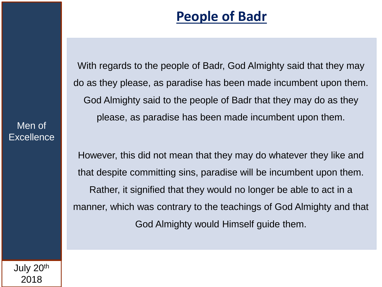## **People of Badr**

With regards to the people of Badr, God Almighty said that they may do as they please, as paradise has been made incumbent upon them. God Almighty said to the people of Badr that they may do as they please, as paradise has been made incumbent upon them.

However, this did not mean that they may do whatever they like and that despite committing sins, paradise will be incumbent upon them. Rather, it signified that they would no longer be able to act in a manner, which was contrary to the teachings of God Almighty and that God Almighty would Himself guide them.

July 20th 2018

Men of

**Excellence**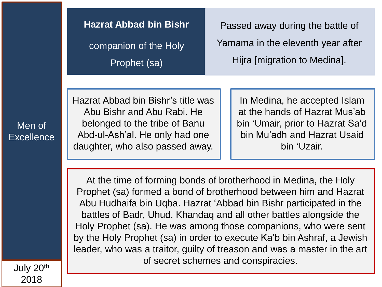**Hazrat Abbad bin Bishr** companion of the Holy Prophet (sa)

Passed away during the battle of Yamama in the eleventh year after Hijra [migration to Medina].

Hazrat Abbad bin Bishr's title was Abu Bishr and Abu Rabi. He belonged to the tribe of Banu Abd-ul-Ash'al. He only had one daughter, who also passed away.

In Medina, he accepted Islam at the hands of Hazrat Mus'ab bin 'Umair, prior to Hazrat Sa'd bin Mu'adh and Hazrat Usaid bin 'Uzair.

At the time of forming bonds of brotherhood in Medina, the Holy Prophet (sa) formed a bond of brotherhood between him and Hazrat Abu Hudhaifa bin Uqba. Hazrat 'Abbad bin Bishr participated in the battles of Badr, Uhud, Khandaq and all other battles alongside the Holy Prophet (sa). He was among those companions, who were sent by the Holy Prophet (sa) in order to execute Ka'b bin Ashraf, a Jewish leader, who was a traitor, guilty of treason and was a master in the art of secret schemes and conspiracies.

Men of **Excellence**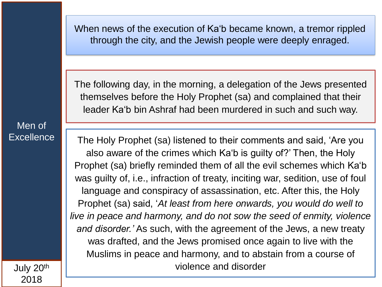When news of the execution of Ka'b became known, a tremor rippled through the city, and the Jewish people were deeply enraged.

The following day, in the morning, a delegation of the Jews presented themselves before the Holy Prophet (sa) and complained that their leader Ka'b bin Ashraf had been murdered in such and such way.

Men of **Excellence** 

The Holy Prophet (sa) listened to their comments and said, 'Are you also aware of the crimes which Ka'b is guilty of?' Then, the Holy Prophet (sa) briefly reminded them of all the evil schemes which Ka'b was guilty of, i.e., infraction of treaty, inciting war, sedition, use of foul language and conspiracy of assassination, etc. After this, the Holy Prophet (sa) said, '*At least from here onwards, you would do well to live in peace and harmony, and do not sow the seed of enmity, violence and disorder.'* As such, with the agreement of the Jews, a new treaty was drafted, and the Jews promised once again to live with the Muslims in peace and harmony, and to abstain from a course of violence and disorder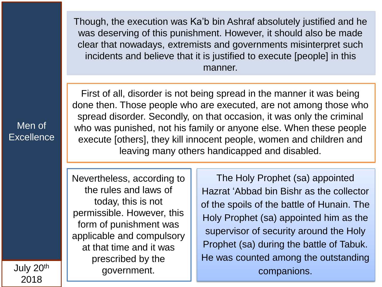Though, the execution was Ka'b bin Ashraf absolutely justified and he was deserving of this punishment. However, it should also be made clear that nowadays, extremists and governments misinterpret such incidents and believe that it is justified to execute [people] in this manner.

Men of **Excellence** 

First of all, disorder is not being spread in the manner it was being done then. Those people who are executed, are not among those who spread disorder. Secondly, on that occasion, it was only the criminal who was punished, not his family or anyone else. When these people execute [others], they kill innocent people, women and children and leaving many others handicapped and disabled.

Nevertheless, according to the rules and laws of today, this is not permissible. However, this form of punishment was applicable and compulsory at that time and it was prescribed by the government.

The Holy Prophet (sa) appointed Hazrat 'Abbad bin Bishr as the collector of the spoils of the battle of Hunain. The Holy Prophet (sa) appointed him as the supervisor of security around the Holy Prophet (sa) during the battle of Tabuk. He was counted among the outstanding companions.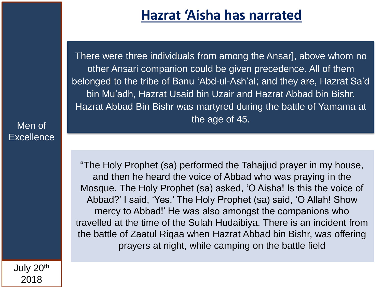### **Hazrat 'Aisha has narrated**

There were three individuals from among the Ansar], above whom no other Ansari companion could be given precedence. All of them belonged to the tribe of Banu 'Abd-ul-Ash'al; and they are, Hazrat Sa'd bin Mu'adh, Hazrat Usaid bin Uzair and Hazrat Abbad bin Bishr. Hazrat Abbad Bin Bishr was martyred during the battle of Yamama at the age of 45.

"The Holy Prophet (sa) performed the Tahajjud prayer in my house, and then he heard the voice of Abbad who was praying in the Mosque. The Holy Prophet (sa) asked, 'O Aisha! Is this the voice of Abbad?' I said, 'Yes.' The Holy Prophet (sa) said, 'O Allah! Show mercy to Abbad!' He was also amongst the companions who travelled at the time of the Sulah Hudaibiya. There is an incident from the battle of Zaatul Riqaa when Hazrat Abbad bin Bishr, was offering prayers at night, while camping on the battle field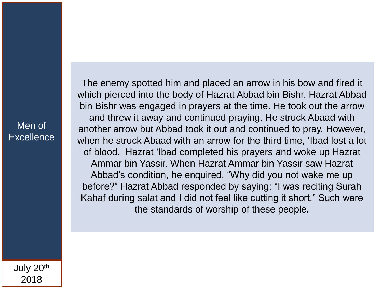The enemy spotted him and placed an arrow in his bow and fired it which pierced into the body of Hazrat Abbad bin Bishr. Hazrat Abbad bin Bishr was engaged in prayers at the time. He took out the arrow and threw it away and continued praying. He struck Abaad with another arrow but Abbad took it out and continued to pray. However, when he struck Abaad with an arrow for the third time, 'Ibad lost a lot of blood. Hazrat 'Ibad completed his prayers and woke up Hazrat Ammar bin Yassir. When Hazrat Ammar bin Yassir saw Hazrat Abbad's condition, he enquired, "Why did you not wake me up before?" Hazrat Abbad responded by saying: "I was reciting Surah Kahaf during salat and I did not feel like cutting it short." Such were the standards of worship of these people.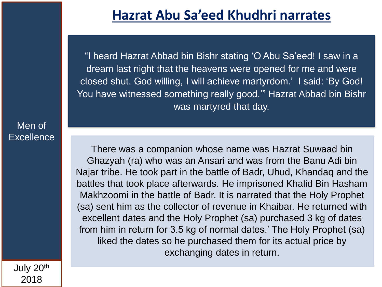### **Hazrat Abu Sa'eed Khudhri narrates**

"I heard Hazrat Abbad bin Bishr stating 'O Abu Sa'eed! I saw in a dream last night that the heavens were opened for me and were closed shut. God willing, I will achieve martyrdom.' I said: 'By God! You have witnessed something really good.'" Hazrat Abbad bin Bishr was martyred that day.

There was a companion whose name was Hazrat Suwaad bin Ghazyah (ra) who was an Ansari and was from the Banu Adi bin Najar tribe. He took part in the battle of Badr, Uhud, Khandaq and the battles that took place afterwards. He imprisoned Khalid Bin Hasham Makhzoomi in the battle of Badr. It is narrated that the Holy Prophet (sa) sent him as the collector of revenue in Khaibar. He returned with excellent dates and the Holy Prophet (sa) purchased 3 kg of dates from him in return for 3.5 kg of normal dates.' The Holy Prophet (sa) liked the dates so he purchased them for its actual price by exchanging dates in return.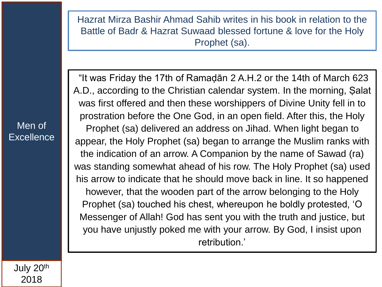Hazrat Mirza Bashir Ahmad Sahib writes in his book in relation to the Battle of Badr & Hazrat Suwaad blessed fortune & love for the Holy Prophet (sa).

Men of **Excellence** 

"It was Friday the 17th of Ramaḍān 2 A.H.2 or the 14th of March 623 A.D., according to the Christian calendar system. In the morning, Ṣalat was first offered and then these worshippers of Divine Unity fell in to prostration before the One God, in an open field. After this, the Holy Prophet (sa) delivered an address on Jihad. When light began to appear, the Holy Prophet (sa) began to arrange the Muslim ranks with the indication of an arrow. A Companion by the name of Sawad (ra) was standing somewhat ahead of his row. The Holy Prophet (sa) used his arrow to indicate that he should move back in line. It so happened however, that the wooden part of the arrow belonging to the Holy Prophet (sa) touched his chest, whereupon he boldly protested, 'O Messenger of Allah! God has sent you with the truth and justice, but you have unjustly poked me with your arrow. By God, I insist upon retribution.'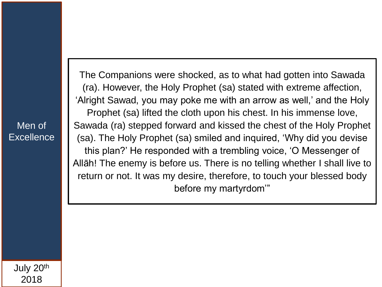The Companions were shocked, as to what had gotten into Sawada (ra). However, the Holy Prophet (sa) stated with extreme affection, 'Alright Sawad, you may poke me with an arrow as well,' and the Holy Prophet (sa) lifted the cloth upon his chest. In his immense love, Sawada (ra) stepped forward and kissed the chest of the Holy Prophet (sa). The Holy Prophet (sa) smiled and inquired, 'Why did you devise this plan?' He responded with a trembling voice, 'O Messenger of Allāh! The enemy is before us. There is no telling whether I shall live to return or not. It was my desire, therefore, to touch your blessed body before my martyrdom'"